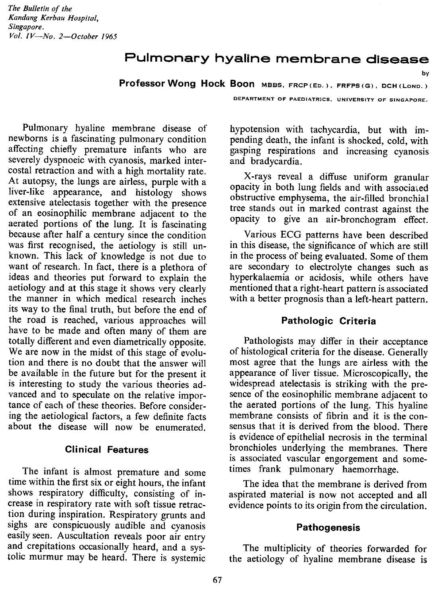# **Pulmonary hyaline membrane disease**

Professor Wong **Hock Boon** MSSS, FRCP(Eo.), FRFPS(G), DCH(LoNO.)

DEPARTMENT OF PAEDIATRICS, UNIVERSITY OF SINGAPORE.

by

Pulmonary hyaline membrane disease of newborns is a fascinating pulmonary condition affecting chiefly premature infants who are severely dyspnoeic with cyanosis, marked intercostal retraction and with a high mortality rate. At autopsy, the lungs are airless, purple with a liver-like appearance, and histology shows extensive atelectasis together with the presence of an eosinophilic membrane adjacent to the aerated portions of the lung. It is fascinating because after half a century since the condition was first recognised, the aetiology is still unknown. This lack of knowledge is not due to want of research. In fact, there is a plethora of ideas and theories put forward to explain the aetiology and at this stage it shows very clearly the manner in which medical research inches its way to the final truth, but before the end of the road is reached, various approaches will have to be made and often many of them are totally different and even diametrically opposite. We are now in the midst of this stage of evolution and there is no doubt that the answer will be available in the future but for the present it is interesting to study the various theories advanced and to speculate on the relative importance of each of these theories. Before considering the aetiological factors, a few definite facts about the disease will now be enumerated.

### **Clinical Features**

The infant is almost premature and some time within the first six or eight hours, the infant shows respiratory difficulty, consisting of increase in respiratory rate with soft tissue retraction during inspiration. Respiratory grunts and sighs are conspicuously audible and cyanosis easily seen. Auscultation reveals poor air entry and crepitations occasionally heard, and a systolic murmur may be heard. There is systemic

hypotension with tachycardia, but with impending death, the infant is shocked, cold, with gasping respirations and increasing cyanosis and bradycardia.

X-rays reveal a diffuse uniform granular opacity in both lung fields and with associated obstructive emphysema, the air-filled bronchial tree stands out in marked contrast against the opacity to give an air-bronchogram effect.

Various ECG patterns have been described in this disease, the significance of which are still in the process of being evaluated. Some of them are secondary to electrolyte changes such as hyperkalaemia or acidosis, while others have mentioned that a right-heart pattern is associated with a better prognosis than a left-heart pattern.

## Pathologic Criteria

Pathologists may differ in their acceptance of histological criteria for the disease. Generally most agree that the lungs are airless with the appearance of liver tissue. Microscopically, the widespread atelectasis is striking with the presence of the eosinophilic membrane adjacent to the aerated portions of the lung. This hyaline membrane consists of fibrin and it is the consensus that it is derived from the blood. There is evidence of epithelial necrosis in the terminal bronchioles underlying the membranes. There is associated vascular engorgement and sometimes frank pulmonary haemorrhage.

The idea that the membrane is derived from aspirated material is now not accepted and all evidence points to its origin from the circulation.

### **Pathogenesis**

The multiplicity of theories forwarded for the aetiology of hyaline membrane disease is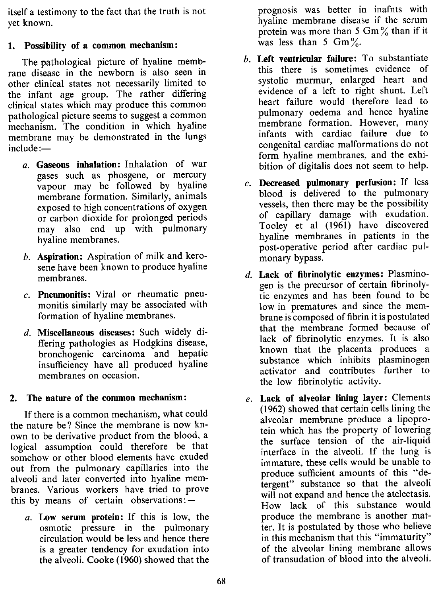itself a testimony to the fact that the truth is not yet known.

## 1. Possibility of a common mechanism:

The pathological picture of hyaline membrane disease in the newborn is also seen in other clinical states not necessarily limited to the infant age group. The rather differing clinical states which may produce this common pathological picture seems to suggest a common mechanism. The condition in which hyaline membrane may be demonstrated in the lungs include:-

- *a.* Gaseous inhalation: Inhalation of war gases such as phosgene, or mercury vapour may be followed by hyaline membrane formation. Similarly, animals exposed to high concentrations of oxygen or carbon dioxide for prolonged periods may also end up with pulmonary hyaline membranes.
- *b.* Aspiration: Aspiration of milk and kerosene have been known to produce hyaline membranes.
- c. Pneumonitis: Viral or rheumatic pneumonitis similarly may be associated with formation of hyaline membranes.
- *d.* Miscellaneous diseases: Such widely differing pathologies as Hodgkins disease, bronchogenic carcinoma and hepatic insufficiency have all produced hyaline membranes on occasion.

## 2. The nature of the common mechanism:

If there is a common mechanism, what could the nature be? Since the membrane is now known to be derivative product from the blood, a logical assumption could therefore be that somehow or other blood elements have exuded out from the pulmonary capillaries into the alveoli and later converted into hyaline membranes. Various workers have tried to prove this by means of certain observations: $-$ 

*a.* Low serum protein: If this is low, the osmotic pressure in the pulmonary circulation would be less and hence there is a greater tendency for exudation into the alveoli. Cooke (1960) showed that the prognosis was better in inafnts with hyaline membrane disease if the serum protein was more than 5 Gm $\%$  than if it was less than 5  $\text{Gm}\%$ .

- *b.* Left ventricular failure: To substantiate this there is sometimes evidence of systolic murmur, enlarged heart and evidence of a left to right shunt. Left heart failure would therefore lead to pulmonary oedema and hence hyaline membrane formation. However, many infants with cardiac failure due to congenital cardiac malformations do not form hyaline membranes, and the exhibition of digitalis does not seem to help.
- $c.$  Decreased pulmonary perfusion: If less blood is delivered to the pulmonary vessels, then there may be the possibility of capillary damage with exudation. Tooley et al (1961) have discovered hyaline membranes in patients in the post-operative period after cardiac pulmonary bypass.
- *d.* Lack of fibrinolytic enzymes: Plasminogen is the precursor of certain fibrinolytic enzymes and has been found to be low in prematures and since the membrane is composed of fibrin it ispostulated that the membrane formed because of lack of fibrinolytic enzymes. It is also known that the placenta produces a substance which inhibits plasminogen activator and contributes further to the low fibrinolytic activity.
- *e.* Lack of alveolar lining layer: Clements (1962) showed that certain cells lining the alveolar membrane produce a lipoprotein which has the property of lowering the surface tension of the air-liquid interface in the alveoli. If the lung is immature, these cells would be unable to produce sufficient amounts of this "detergent" substance so that the alveoli will not expand and hence the atelectasis. How lack of this substance would produce the membrane is another matter. It is postulated by those who believe in this mechanism that this "immaturity" of the alveolar lining membrane allows of transudation of blood into the alveoli.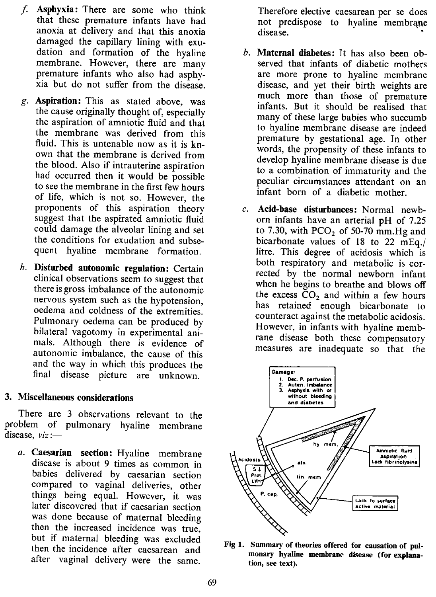- *f.* Asphyxia: There are some who think that these premature infants have had anoxia at delivery and that this anoxia damaged the capillary lining with exudation and formation of the hyaline membrane. However, there are many premature infants who also had asphyxia but do not suffer from the disease.
- g. Aspiration: This as stated above, was the cause originally thought of, especially the aspiration of amniotic fluid and that the membrane was derived from this fluid. This is untenable now as it is known that the membrane is derived from the blood. Also if intrauterine aspiration had occurred then it would be possible to see the membrane in the first few hours of life, which is not so. However, the proponents of this aspiration theory suggest that the aspirated amniotic fluid could damage the alveolar lining and set the conditions for exudation and subsequent hyaline membrane formation.
- *h.* Disturbed autonomic regulation: Certain clinical observations seem to suggest that there is gross imbalance of the autonomic nervous system such as the hypotension, oedema and coldness of the extremities. Pulmonary oedema can be produced by bilateral vagotomy in experimental animals. Although there is evidence of autonomic imbalance, the cause of this and the way in which this produces the final disease picture are unknown.

## 3. Miscellaneous considerations

There are 3 observations relevant to the problem of pulmonary hyaline membrane disease, *viz* :-

*a.* Caesarian section: Hyaline membrane disease is about 9 times as common in babies delivered by caesarian section compared to vaginal deliveries, other things being equal. However, it was later discovered that if caesarian section was done because of maternal bleeding then the increased incidence was true, but if maternal bleeding was excluded then the incidence after caesarean and after vaginal delivery were the same.

Therefore elective caesarean per se does not predispose to hyaline membrane disease.

- *b.* Maternal diabetes: It has also been observed that infants of diabetic mothers are more prone to hyaline membrane disease, and yet their birth weights are much more than those of premature infants. But it should be realised that many of these large babies who succumb to hyaline membrane disease are indeed premature by gestational age. In other words, the propensity of these infants to develop hyaline membrane disease is due to a combination of immaturity and the peculiar circumstances attendant on an infant born of a diabetic mother.
- c. Acid-base disturbances: Normal newborn infants have an arterial pH of 7.25 to 7.30, with PCO<sub>2</sub> of 50-70 mm. Hg and bicarbonate values of 18 to 22 mEq./ litre. This degree of acidosis which is both respiratory and metabolic is corrected by the normal newborn infant when he begins to breathe and blows off the excess  $CO<sub>2</sub>$  and within a few hours has retained enough bicarbonate to counteract against the metabolic acidosis. However, in infants with hyaline membrane disease both these compensatory measures are inadequate so that the



Fig 1. Summary of theories offered for causation of pulmonary hyaline membrane disease (for explanation, see text).